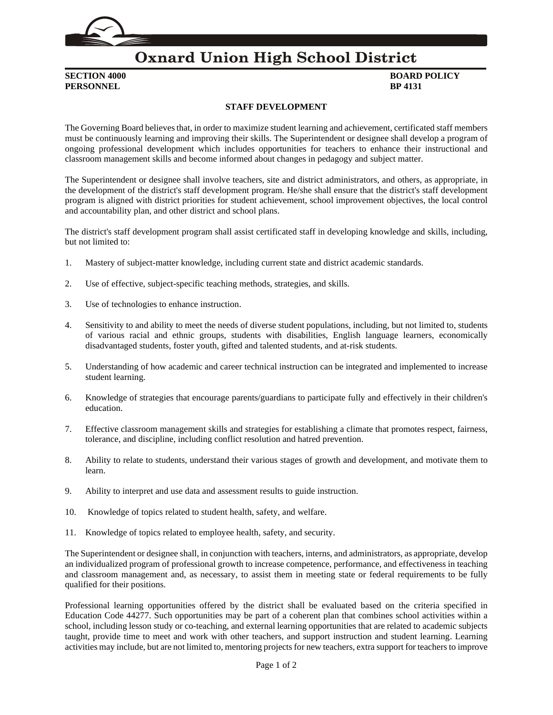

## **Oxnard Union High School District**

**PERSONNEL BP 4131**

**SECTION 4000 BOARD POLICY** 

## **STAFF DEVELOPMENT**

The Governing Board believes that, in order to maximize student learning and achievement, certificated staff members must be continuously learning and improving their skills. The Superintendent or designee shall develop a program of ongoing professional development which includes opportunities for teachers to enhance their instructional and classroom management skills and become informed about changes in pedagogy and subject matter.

The Superintendent or designee shall involve teachers, site and district administrators, and others, as appropriate, in the development of the district's staff development program. He/she shall ensure that the district's staff development program is aligned with district priorities for student achievement, school improvement objectives, the local control and accountability plan, and other district and school plans.

The district's staff development program shall assist certificated staff in developing knowledge and skills, including, but not limited to:

- 1. Mastery of subject-matter knowledge, including current state and district academic standards.
- 2. Use of effective, subject-specific teaching methods, strategies, and skills.
- 3. Use of technologies to enhance instruction.
- 4. Sensitivity to and ability to meet the needs of diverse student populations, including, but not limited to, students of various racial and ethnic groups, students with disabilities, English language learners, economically disadvantaged students, foster youth, gifted and talented students, and at-risk students.
- 5. Understanding of how academic and career technical instruction can be integrated and implemented to increase student learning.
- 6. Knowledge of strategies that encourage parents/guardians to participate fully and effectively in their children's education.
- 7. Effective classroom management skills and strategies for establishing a climate that promotes respect, fairness, tolerance, and discipline, including conflict resolution and hatred prevention.
- 8. Ability to relate to students, understand their various stages of growth and development, and motivate them to learn.
- 9. Ability to interpret and use data and assessment results to guide instruction.
- 10. Knowledge of topics related to student health, safety, and welfare.
- 11. Knowledge of topics related to employee health, safety, and security.

The Superintendent or designee shall, in conjunction with teachers, interns, and administrators, as appropriate, develop an individualized program of professional growth to increase competence, performance, and effectiveness in teaching and classroom management and, as necessary, to assist them in meeting state or federal requirements to be fully qualified for their positions.

Professional learning opportunities offered by the district shall be evaluated based on the criteria specified in Education Code 44277. Such opportunities may be part of a coherent plan that combines school activities within a school, including lesson study or co-teaching, and external learning opportunities that are related to academic subjects taught, provide time to meet and work with other teachers, and support instruction and student learning. Learning activities may include, but are not limited to, mentoring projects for new teachers, extra support for teachers to improve